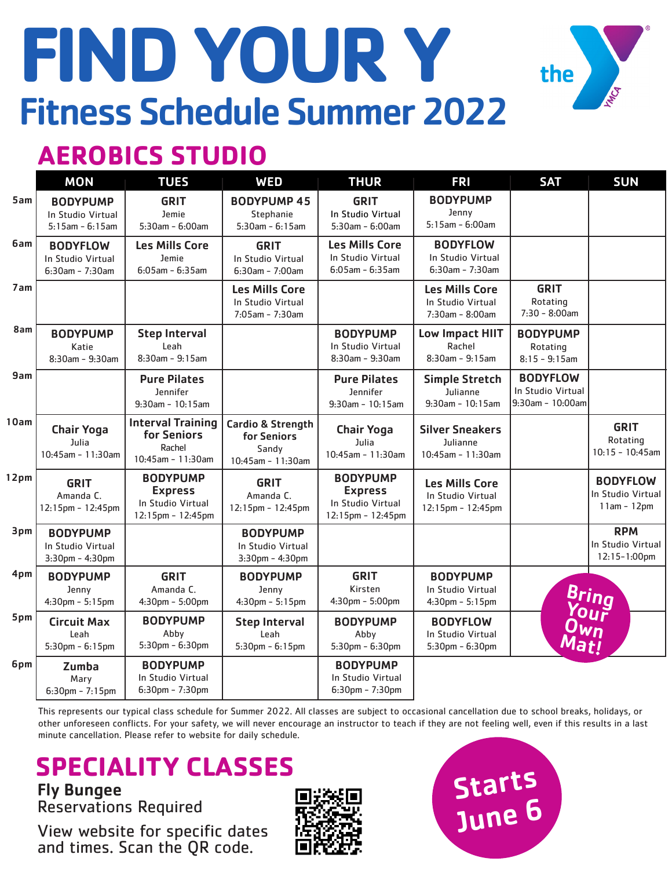# **FIND YOUR Y** Fitness Schedule Summer 2022



### **AEROBICS STUDIO**

|                  | <b>MON</b>                                                    | <b>TUES</b>                                                                 | <b>WED</b>                                                                | <b>THUR</b>                                                                 | <b>FRI</b>                                                          | <b>SAT</b>                                                  | <b>SUN</b>                                            |
|------------------|---------------------------------------------------------------|-----------------------------------------------------------------------------|---------------------------------------------------------------------------|-----------------------------------------------------------------------------|---------------------------------------------------------------------|-------------------------------------------------------------|-------------------------------------------------------|
| 5am              | <b>BODYPUMP</b><br>In Studio Virtual<br>$5:15$ am - $6:15$ am | <b>GRIT</b><br>Jemie<br>5:30am - 6:00am                                     | <b>BODYPUMP 45</b><br>Stephanie<br>$5:30am - 6:15am$                      | <b>GRIT</b><br>In Studio Virtual<br>$5:30am - 6:00am$                       | <b>BODYPUMP</b><br>Jenny<br>$5:15$ am - $6:00$ am                   |                                                             |                                                       |
| 6am              | <b>BODYFLOW</b><br>In Studio Virtual<br>$6:30am - 7:30am$     | <b>Les Mills Core</b><br>Jemie<br>$6:05$ am - $6:35$ am                     | <b>GRIT</b><br>In Studio Virtual<br>6:30am - 7:00am                       | <b>Les Mills Core</b><br>In Studio Virtual<br>$6:05$ am - $6:35$ am         | <b>BODYFLOW</b><br>In Studio Virtual<br>$6:30$ am - 7:30am          |                                                             |                                                       |
| 7am              |                                                               |                                                                             | <b>Les Mills Core</b><br>In Studio Virtual<br>$7:05$ am - $7:30$ am       |                                                                             | <b>Les Mills Core</b><br>In Studio Virtual<br>$7:30$ am - $8:00$ am | <b>GRIT</b><br>Rotating<br>$7:30 - 8:00$ am                 |                                                       |
| 8am              | <b>BODYPUMP</b><br>Katie<br>$8:30$ am - $9:30$ am             | <b>Step Interval</b><br>Leah<br>$8:30$ am - 9:15am                          |                                                                           | <b>BODYPUMP</b><br>In Studio Virtual<br>$8:30$ am - $9:30$ am               | Low Impact HIIT<br>Rachel<br>$8:30$ am - $9:15$ am                  | <b>BODYPUMP</b><br>Rotating<br>$8:15 - 9:15$ am             |                                                       |
| 9am              |                                                               | <b>Pure Pilates</b><br>Jennifer<br>$9:30$ am - 10:15am                      |                                                                           | <b>Pure Pilates</b><br>Jennifer<br>$9:30$ am - 10:15am                      | <b>Simple Stretch</b><br>Julianne<br>9:30am - 10:15am               | <b>BODYFLOW</b><br>In Studio Virtual<br>$9:30$ am - 10:00am |                                                       |
| 10am             | <b>Chair Yoga</b><br>Julia<br>$10:45$ am - 11:30am            | <b>Interval Training</b><br>for Seniors<br>Rachel<br>10:45am - 11:30am      | <b>Cardio &amp; Strength</b><br>for Seniors<br>Sandy<br>10:45am - 11:30am | <b>Chair Yoga</b><br>Julia<br>$10:45$ am - 11:30am                          | <b>Silver Sneakers</b><br>Julianne<br>$10:45$ am - 11:30am          |                                                             | <b>GRIT</b><br>Rotating<br>$10:15 - 10:45$ am         |
| 12 <sub>pm</sub> | <b>GRIT</b><br>Amanda C.<br>12:15pm - 12:45pm                 | <b>BODYPUMP</b><br><b>Express</b><br>In Studio Virtual<br>12:15pm - 12:45pm | <b>GRIT</b><br>Amanda C.<br>12:15pm - 12:45pm                             | <b>BODYPUMP</b><br><b>Express</b><br>In Studio Virtual<br>12:15pm - 12:45pm | <b>Les Mills Core</b><br>In Studio Virtual<br>12:15pm - 12:45pm     |                                                             | <b>BODYFLOW</b><br>In Studio Virtual<br>$11am - 12pm$ |
| 3pm              | <b>BODYPUMP</b><br>In Studio Virtual<br>3:30pm - 4:30pm       |                                                                             | <b>BODYPUMP</b><br>In Studio Virtual<br>3:30pm - 4:30pm                   |                                                                             |                                                                     |                                                             | <b>RPM</b><br>In Studio Virtual<br>12:15-1:00pm       |
| 4pm              | <b>BODYPUMP</b><br>Jenny<br>$4:30$ pm - $5:15$ pm             | <b>GRIT</b><br>Amanda C.<br>4:30pm - 5:00pm                                 | <b>BODYPUMP</b><br>Jenny<br>$4:30$ pm - $5:15$ pm                         | <b>GRIT</b><br>Kirsten<br>4:30pm - 5:00pm                                   | <b>BODYPUMP</b><br>In Studio Virtual<br>4:30pm - 5:15pm             |                                                             |                                                       |
| 5pm              | <b>Circuit Max</b><br>Leah<br>$5:30$ pm - $6:15$ pm           | <b>BODYPUMP</b><br>Abby<br>5:30pm - 6:30pm                                  | <b>Step Interval</b><br>Leah<br>$5:30$ pm - $6:15$ pm                     | <b>BODYPUMP</b><br>Abby<br>5:30pm - 6:30pm                                  | <b>BODYFLOW</b><br>In Studio Virtual<br>5:30pm - 6:30pm             | <b>Bring<br/>Your<br/>Own<br/>Mat!</b>                      |                                                       |
| 6pm              | Zumba<br>Mary<br>$6:30$ pm - 7:15pm                           | <b>BODYPUMP</b><br>In Studio Virtual<br>6:30pm - 7:30pm                     |                                                                           | <b>BODYPUMP</b><br>In Studio Virtual<br>6:30pm - 7:30pm                     |                                                                     |                                                             |                                                       |

This represents our typical class schedule for Summer 2022. All classes are subject to occasional cancellation due to school breaks, holidays, or other unforeseen conflicts. For your safety, we will never encourage an instructor to teach if they are not feeling well, even if this results in a last minute cancellation. Please refer to website for daily schedule.

## **SPECIALITY CLASSES**

Fly Bungee Reservations Required

View website for specific dates and times. Scan the QR code.